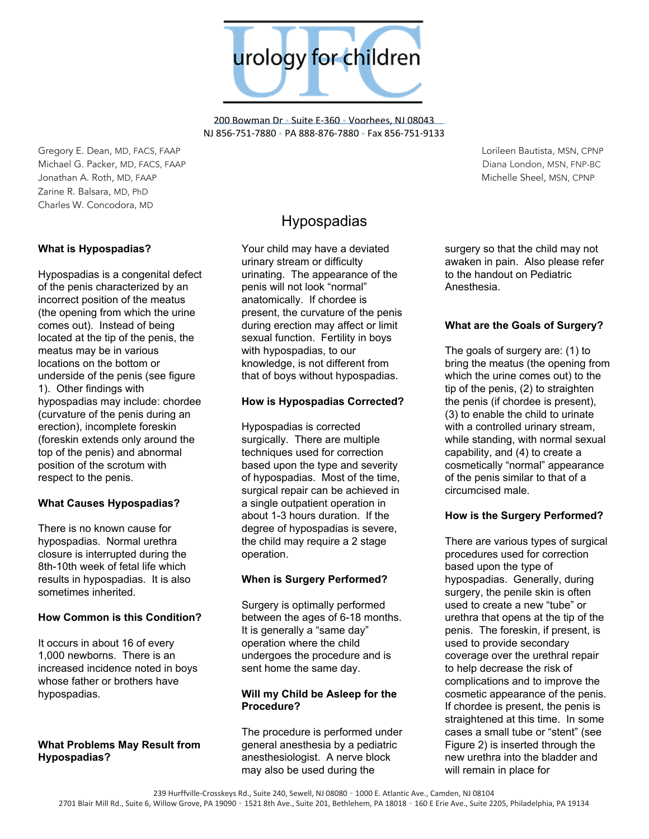urology for children

200 Bowman Dr • Suite E-360 • Voorhees, NJ 08043 NJ 856-751-7880 • PA 888-876-7880 • Fax 856-751-9133

Gregory E. Dean, MD, FACS, FAAP Lorileen Bautista, MSN, CPNP Michael G. Packer, MD, FACS, FAAP Diana London, MSN, FNP-BC Jonathan A. Roth, MD, FAAP Michelle Sheel, MSN, CPNP Zarine R. Balsara, MD, PhD Charles W. Concodora, MD

## **What is Hypospadias?**

Hypospadias is a congenital defect of the penis characterized by an incorrect position of the meatus (the opening from which the urine comes out). Instead of being located at the tip of the penis, the meatus may be in various locations on the bottom or underside of the penis (see figure 1). Other findings with hypospadias may include: chordee (curvature of the penis during an erection), incomplete foreskin (foreskin extends only around the top of the penis) and abnormal position of the scrotum with respect to the penis.

## **What Causes Hypospadias?**

There is no known cause for hypospadias. Normal urethra closure is interrupted during the 8th-10th week of fetal life which results in hypospadias. It is also sometimes inherited.

## **How Common is this Condition?**

It occurs in about 16 of every 1,000 newborns. There is an increased incidence noted in boys whose father or brothers have hypospadias.

#### **What Problems May Result from Hypospadias?**

# Hypospadias

Your child may have a deviated urinary stream or difficulty urinating. The appearance of the penis will not look "normal" anatomically. If chordee is present, the curvature of the penis during erection may affect or limit sexual function. Fertility in boys with hypospadias, to our knowledge, is not different from that of boys without hypospadias.

#### **How is Hypospadias Corrected?**

Hypospadias is corrected surgically. There are multiple techniques used for correction based upon the type and severity of hypospadias. Most of the time, surgical repair can be achieved in a single outpatient operation in about 1-3 hours duration. If the degree of hypospadias is severe, the child may require a 2 stage operation.

## **When is Surgery Performed?**

Surgery is optimally performed between the ages of 6-18 months. It is generally a "same day" operation where the child undergoes the procedure and is sent home the same day.

## **Will my Child be Asleep for the Procedure?**

The procedure is performed under general anesthesia by a pediatric anesthesiologist. A nerve block may also be used during the

surgery so that the child may not awaken in pain. Also please refer to the handout on Pediatric Anesthesia.

## **What are the Goals of Surgery?**

The goals of surgery are: (1) to bring the meatus (the opening from which the urine comes out) to the tip of the penis, (2) to straighten the penis (if chordee is present), (3) to enable the child to urinate with a controlled urinary stream, while standing, with normal sexual capability, and (4) to create a cosmetically "normal" appearance of the penis similar to that of a circumcised male.

## **How is the Surgery Performed?**

There are various types of surgical procedures used for correction based upon the type of hypospadias. Generally, during surgery, the penile skin is often used to create a new "tube" or urethra that opens at the tip of the penis. The foreskin, if present, is used to provide secondary coverage over the urethral repair to help decrease the risk of complications and to improve the cosmetic appearance of the penis. If chordee is present, the penis is straightened at this time. In some cases a small tube or "stent" (see Figure 2) is inserted through the new urethra into the bladder and will remain in place for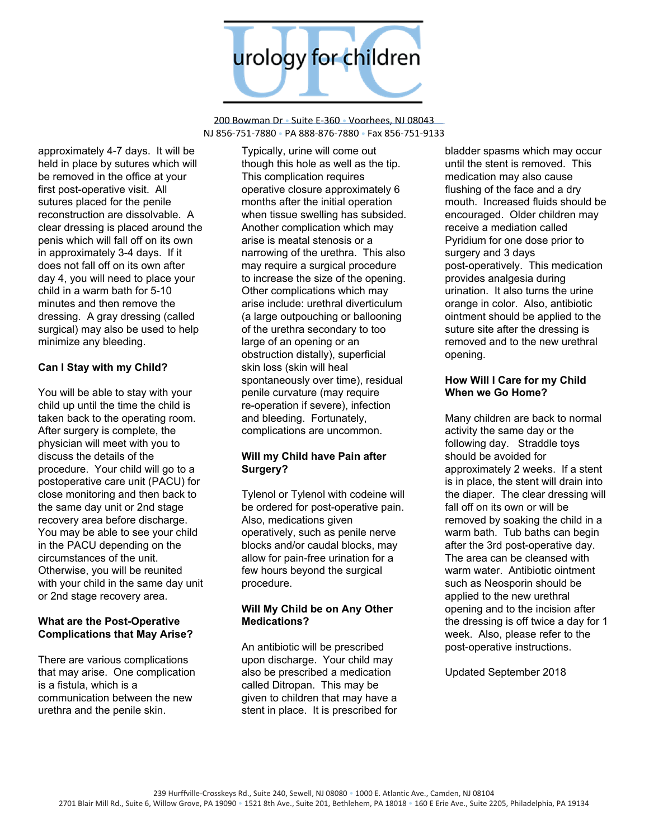

200 Bowman Dr • Suite E-360 • Voorhees, NJ 08043 NJ 856-751-7880 • PA 888-876-7880 • Fax 856-751-9133

approximately 4-7 days. It will be held in place by sutures which will be removed in the office at your first post-operative visit. All sutures placed for the penile reconstruction are dissolvable. A clear dressing is placed around the penis which will fall off on its own in approximately 3-4 days. If it does not fall off on its own after day 4, you will need to place your child in a warm bath for 5-10 minutes and then remove the dressing. A gray dressing (called surgical) may also be used to help minimize any bleeding.

## **Can I Stay with my Child?**

You will be able to stay with your child up until the time the child is taken back to the operating room. After surgery is complete, the physician will meet with you to discuss the details of the procedure. Your child will go to a postoperative care unit (PACU) for close monitoring and then back to the same day unit or 2nd stage recovery area before discharge. You may be able to see your child in the PACU depending on the circumstances of the unit. Otherwise, you will be reunited with your child in the same day unit or 2nd stage recovery area.

#### **What are the Post-Operative Complications that May Arise?**

There are various complications that may arise. One complication is a fistula, which is a communication between the new urethra and the penile skin.

Typically, urine will come out though this hole as well as the tip. This complication requires operative closure approximately 6 months after the initial operation when tissue swelling has subsided. Another complication which may arise is meatal stenosis or a narrowing of the urethra. This also may require a surgical procedure to increase the size of the opening. Other complications which may arise include: urethral diverticulum (a large outpouching or ballooning of the urethra secondary to too large of an opening or an obstruction distally), superficial skin loss (skin will heal spontaneously over time), residual penile curvature (may require re-operation if severe), infection and bleeding. Fortunately, complications are uncommon.

## **Will my Child have Pain after Surgery?**

Tylenol or Tylenol with codeine will be ordered for post-operative pain. Also, medications given operatively, such as penile nerve blocks and/or caudal blocks, may allow for pain-free urination for a few hours beyond the surgical procedure.

#### **Will My Child be on Any Other Medications?**

An antibiotic will be prescribed upon discharge. Your child may also be prescribed a medication called Ditropan. This may be given to children that may have a stent in place. It is prescribed for

bladder spasms which may occur until the stent is removed. This medication may also cause flushing of the face and a dry mouth. Increased fluids should be encouraged. Older children may receive a mediation called Pyridium for one dose prior to surgery and 3 days post-operatively. This medication provides analgesia during urination. It also turns the urine orange in color. Also, antibiotic ointment should be applied to the suture site after the dressing is removed and to the new urethral opening.

#### **How Will I Care for my Child When we Go Home?**

Many children are back to normal activity the same day or the following day. Straddle toys should be avoided for approximately 2 weeks. If a stent is in place, the stent will drain into the diaper. The clear dressing will fall off on its own or will be removed by soaking the child in a warm bath. Tub baths can begin after the 3rd post-operative day. The area can be cleansed with warm water. Antibiotic ointment such as Neosporin should be applied to the new urethral opening and to the incision after the dressing is off twice a day for 1 week. Also, please refer to the post-operative instructions.

Updated September 2018